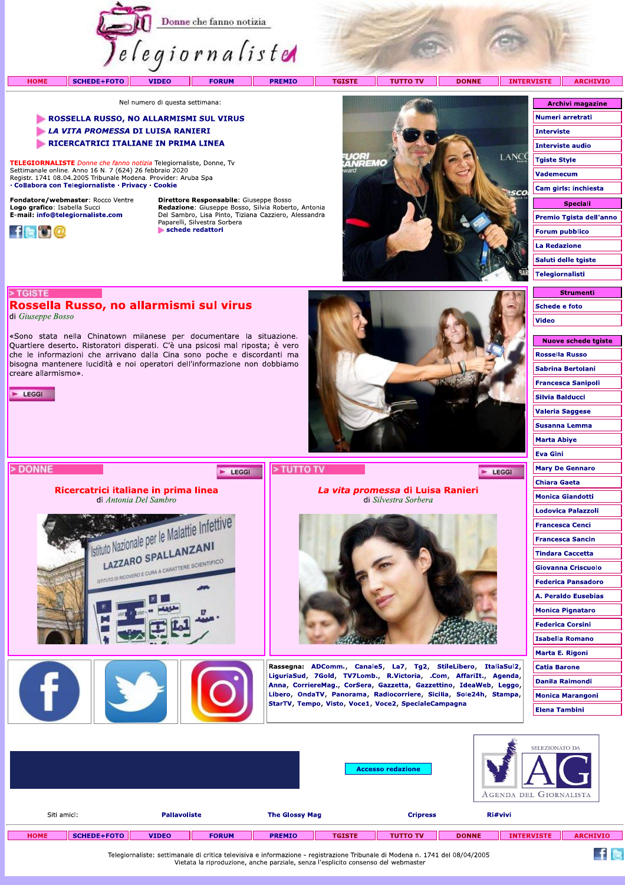

Nel numero di questa settimana:

### ROSSELLA RUSSO, NO ALLARMISMI SUL VIRUS

- LA VITA PROMESSA DI LUISA RANIERI
- RICERCATRICI ITALIANE IN PRIMA LINEA

TELEGIORNALISTE Donne che fanno notizia Telegiornaliste, Donne, Tv Settimanale online. Anno 16 N. 7 (624) 26 febbraio 2020<br>Registr. 1741 08.04.2005 Tribunale Modena. Provider: Aruba Spa · Collabora con Telegiornaliste · Privacy · Cookie

Fondatore/webmaster: Rocco Ventre Logo grafico: Isabella Succi<br>E-mail: info@telegiornaliste.com



Direttore Responsabile: Giuseppe Bosso **Redazione:** Giuseppe Bosso, Silvia Roberto, Antonia<br>Del Sambro, Lisa Pinto, Tiziana Cazziero, Alessandra<br>Paparelli, Silvestra Sorbera schede redattori



| <b>Archivi magazine</b> |  |
|-------------------------|--|
| Numeri arretrati        |  |
| Interviste              |  |
| <b>Interviste audio</b> |  |
| <b>Tgiste Style</b>     |  |
| Vademecum               |  |
| Cam girls: inchiesta    |  |
| Speciali                |  |
| Premio Tgista dell'anno |  |
|                         |  |
| <b>Forum pubblico</b>   |  |
| La Redazione            |  |
| Saluti delle tgiste     |  |
| Telegiornalisti         |  |

**Strumenti** 

**Schede e foto** 

Video

## Rossella Russo, no allarmismi sul virus di Giuseppe Bosso

«Sono stata nella Chinatown milanese per documentare la situazione. Quartiere deserto. Ristoratori disperati. C'è una psicosi mal riposta; è vero che le informazioni che arrivano dalla Cina sono poche e discordanti ma bisogna mantenere lucidità e noi operatori dell'informazione non dobbiamo creare allarmismo».



> TGISTE



| > DONNE |                                                                                                                     | EGGI | > TUTTO TV<br>LEGGI                                                                                                                                                                                                                                                                                                                 |  |  |  |  |
|---------|---------------------------------------------------------------------------------------------------------------------|------|-------------------------------------------------------------------------------------------------------------------------------------------------------------------------------------------------------------------------------------------------------------------------------------------------------------------------------------|--|--|--|--|
|         | Ricercatrici italiane in prima linea<br>di Antonia Del Sambro                                                       |      | La vita promessa di Luisa Ranieri<br>di Silvestra Sorbera                                                                                                                                                                                                                                                                           |  |  |  |  |
|         | In Nazionale per le Malattie Infettive<br>LAZZARO SPALLANZANI<br>STITUTO DI RICOVERO E CURA A CARATTERE SCIENTIFICO |      |                                                                                                                                                                                                                                                                                                                                     |  |  |  |  |
|         |                                                                                                                     |      | Rassegna: ADComm., Canale5, La7, Tg2, StileLibero, ItaliaSul2<br>LiguriaSud, 7Gold, TV7Lomb., R.Victoria, .Com, AffariIt., Agenda<br>Anna, CorriereMag., CorSera, Gazzetta, Gazzettino, IdeaWeb, Leggo<br>Libero, OndaTV, Panorama, Radiocorriere, Sicilia, Sole24h, Stampa<br>StarTV, Tempo, Visto, Voce1, Voce2, SpecialeCampagna |  |  |  |  |

| <b>Nuove schede tgiste</b> |
|----------------------------|
| <b>Rossella Russo</b>      |
| Sabrina Bertolani          |
| <b>Francesca Sanipoli</b>  |
| Silvia Balducci            |
| <b>Valeria Saggese</b>     |
| Susanna Lemma              |
| <b>Marta Abiye</b>         |
| <b>Eva Gini</b>            |
| <b>Mary De Gennaro</b>     |
| Chiara Gaeta               |
| <b>Monica Giandotti</b>    |
| Lodovica Palazzoli         |
| <b>Francesca Cenci</b>     |
| <b>Francesca Sancin</b>    |
| Tindara Caccetta           |
| Giovanna Criscuolo         |
| <b>Federica Pansadoro</b>  |
| A. Peraldo Eusebias        |
| <b>Monica Pignataro</b>    |
| <b>Federica Corsini</b>    |
| <b>Isabella Romano</b>     |
| Marta E. Rigoni            |
| <b>Catia Barone</b>        |
| <b>Danila Raimondi</b>     |
| <b>Monica Marangoni</b>    |
| <b>Elena Tambini</b>       |

 $f$  is

|             |                    |                     |              |                       |               | <b>Accesso redazione</b> |              | SELEZIONATO DA<br>AGENDA DEL GIORNALISTA |                 |
|-------------|--------------------|---------------------|--------------|-----------------------|---------------|--------------------------|--------------|------------------------------------------|-----------------|
| Siti amici: |                    | <b>Pallavoliste</b> |              | <b>The Glossy Mag</b> |               | <b>Cripress</b>          | Ri#vivi      |                                          |                 |
| <b>HOME</b> | <b>SCHEDE+FOTO</b> | <b>VIDEO</b>        | <b>FORUM</b> | <b>PREMIO</b>         | <b>TGISTE</b> | <b>TUTTO TV</b>          | <b>DONNE</b> | <b>INTERVISTE</b>                        | <b>ARCHIVIO</b> |

Telegiornaliste: settimanale di critica televisiva e informazione - registrazione Tribunale di Modena n. 1741 del 08/04/2005 Vietata la riproduzione, anche parziale, senza l'esplicito consenso del webmaster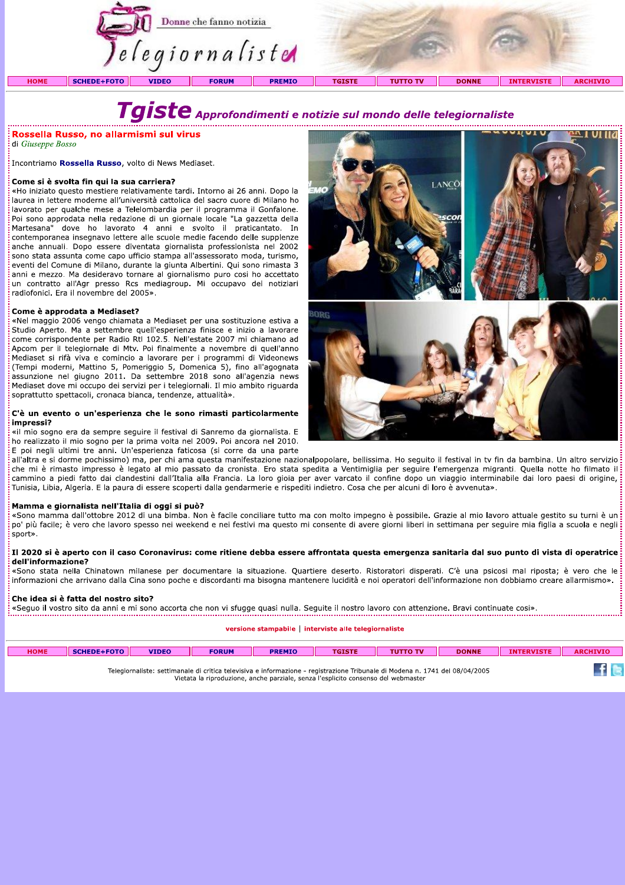

eventi del Comune di Milano, durante la giunta Albertini. Qui sono rimasta 3 anni e mezzo. Ma desideravo tornare al giornalismo puro cosi ho accettato un contratto all'Agr presso Rcs mediagroup. Mi occupavo dei notiziari radiofonici. Era il novembre del 2005».

anche annuali. Dopo essere diventata giornalista professionista nel 2002<br>
sono stata assunta come capo ufficio stampa all'assessorato moda, turismo,<br>
eventi del Comune di Milano, durante la giunta Albertini. Qui sono rimas



щ

| <b>HOME</b> | SCHEDE+FOTO | <b>VIDEO</b> | <b>FORUM</b> | <b>PREMIO</b> |                                                                                                                              | עד הז | <b>DONNE</b> | AR |
|-------------|-------------|--------------|--------------|---------------|------------------------------------------------------------------------------------------------------------------------------|-------|--------------|----|
|             |             |              |              |               | Telegiornaliste: settimanale di critica televisiva e informazione - registrazione Tribunale di Modena n. 1741 del 08/04/2005 |       |              |    |

elegiorhaliste: settimahale di critica televisiva e informazione - registrazione Tribunale di Modena n. 1741 de<br>Vietata la riproduzione, anche parziale, senza l'esplicito consenso del webmaster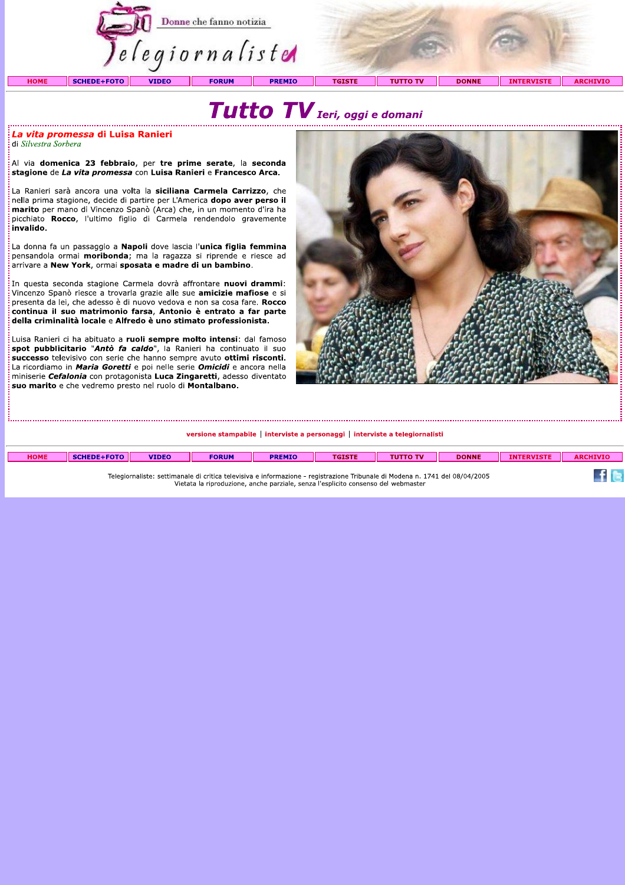

## di Silvestra Sorbera

**Election de la vita promessa di Luisa Ranieri<br>Al via domenica 23 febbraio, per tre prime serate, la seconda<br>stagione de** *La vita promessa* **con Luisa Ranieri e Francesco Arca.<br>La Ranieri sarà ancora una volta la siciliana** 

pensandola ormai **moribonda**; ma la ragazza si riprende e riesce ad arrivare a New York, ormai sposata e madre di un bambino.

In questa seconda stagione Carmela dovrà affrontare nuovi drammi: Vincenzo Spanò riesce a trovarla grazie alle sue **amicizie mafiose** e si presenta da lei, che adesso è di nuovo vedova e non sa cosa fare. Rocco continua il suo matrimonio farsa, Antonio è entrato a far parte della criminalità locale e Alfredo è uno stimato professionista.

Luisa Ranieri ci ha abituato a ruoli sempre molto intensi: dal famoso spot pubblicitario "Antò fa caldo", la Ranieri ha continuato il suo successo televisivo con serie che hanno sempre avuto ottimi risconti. La ricordiamo in *Maria Goretti* e poi nelle serie *Omicidi* e ancora nella miniserie Cefalonia con protagonista Luca Zingaretti, adesso diventato suo marito e che vedremo presto nel ruolo di Montalbano.



versione stampabile | interviste a personaggi | interviste a telegiornalisti

| <b>HOME</b> | <b>SCHEDE+FOTO</b> | <b>VIDEO</b> | <b>FORUM</b> | <b>PREMIO</b> | TGISTF                                                                                                                       | <b>DONNE</b> | <b>INTERVISTE</b> | <b>ARCHIVIO</b> |
|-------------|--------------------|--------------|--------------|---------------|------------------------------------------------------------------------------------------------------------------------------|--------------|-------------------|-----------------|
|             |                    |              |              |               |                                                                                                                              |              |                   |                 |
|             |                    |              |              |               | Telegiornaliste: settimanale di critica televisiva e informazione - registrazione Tribunale di Modena n. 1741 del 08/04/2005 |              |                   |                 |

Telegiornaliste: settimanale di critica televisiya e informazione - registrazione Tribunale di Modena n. 1741 del 08/04/2005 bella be all the contractors of the entries and the second the contract of the contract of the contractors with Vietnamas Vietnamas Vietnamas Vietnamas Vietnamas Vietnamas Vietnamas Vietnamas Vietnamas Vietnamas Vietnamas